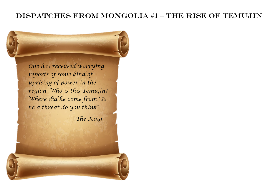## Dispatches from Mongolia #1 – The Rise of Temujin

*One has received worrying reports of some kind of uprising of power in the region. Who is this Temujin? Where did he come from? Is he a threat do you think?*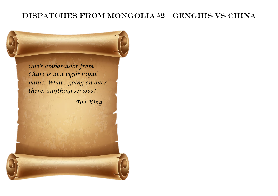## Dispatches from Mongolia #2 – Genghis Vs China

*One's ambassador from China is in a right royal panic. What's going on over there, anything serious?*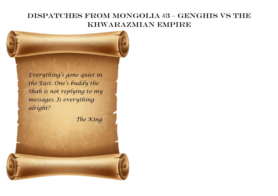# Dispatches from Mongolia #3 – Genghis Vs the Khwarazmian Empire

*Everything's gone quiet in the East. One's buddy the Shah is not replying to my messages. Is everything alright?*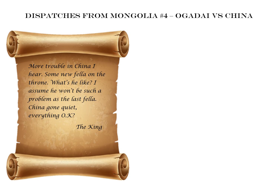## Dispatches from Mongolia #4 – Ogadai vs China

*More trouble in China I hear. Some new fella on the throne. What's he like? I assume he won't be such a problem as the last fella. China gone quiet, everything O.K?*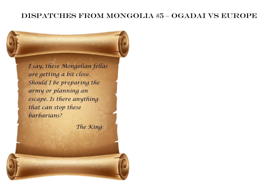## Dispatches from Mongolia #5 – Ogadai vs Europe

*I say, these Mongolian fellas are getting a bit close. Should I be preparing the army or planning an escape. Is there anything that can stop these barbarians?*